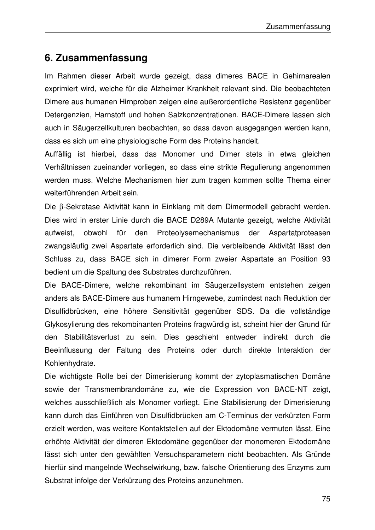## **6. Zusammenfassung**

Im Rahmen dieser Arbeit wurde gezeigt, dass dimeres BACE in Gehirnarealen exprimiert wird, welche für die Alzheimer Krankheit relevant sind. Die beobachteten Dimere aus humanen Hirnproben zeigen eine außerordentliche Resistenz gegenüber Detergenzien, Harnstoff und hohen Salzkonzentrationen. BACE-Dimere lassen sich auch in Säugerzellkulturen beobachten, so dass davon ausgegangen werden kann, dass es sich um eine physiologische Form des Proteins handelt.

Auffällig ist hierbei, dass das Monomer und Dimer stets in etwa gleichen Verhältnissen zueinander vorliegen, so dass eine strikte Regulierung angenommen werden muss. Welche Mechanismen hier zum tragen kommen sollte Thema einer weiterführenden Arbeit sein.

Die β-Sekretase Aktivität kann in Einklang mit dem Dimermodell gebracht werden. Dies wird in erster Linie durch die BACE D289A Mutante gezeigt, welche Aktivität aufweist, obwohl für den Proteolysemechanismus der Aspartatproteasen zwangsläufig zwei Aspartate erforderlich sind. Die verbleibende Aktivität lässt den Schluss zu, dass BACE sich in dimerer Form zweier Aspartate an Position 93 bedient um die Spaltung des Substrates durchzuführen.

Die BACE-Dimere, welche rekombinant im Säugerzellsystem entstehen zeigen anders als BACE-Dimere aus humanem Hirngewebe, zumindest nach Reduktion der Disulfidbrücken, eine höhere Sensitivität gegenüber SDS. Da die vollständige Glykosylierung des rekombinanten Proteins fragwürdig ist, scheint hier der Grund für den Stabilitätsverlust zu sein. Dies geschieht entweder indirekt durch die Beeinflussung der Faltung des Proteins oder durch direkte Interaktion der Kohlenhydrate.

Die wichtigste Rolle bei der Dimerisierung kommt der zytoplasmatischen Domäne sowie der Transmembrandomäne zu, wie die Expression von BACE-NT zeigt, welches ausschließlich als Monomer vorliegt. Eine Stabilisierung der Dimerisierung kann durch das Einführen von Disulfidbrücken am C-Terminus der verkürzten Form erzielt werden, was weitere Kontaktstellen auf der Ektodomäne vermuten lässt. Eine erhöhte Aktivität der dimeren Ektodomäne gegenüber der monomeren Ektodomäne lässt sich unter den gewählten Versuchsparametern nicht beobachten. Als Gründe hierfür sind mangelnde Wechselwirkung, bzw. falsche Orientierung des Enzyms zum Substrat infolge der Verkürzung des Proteins anzunehmen.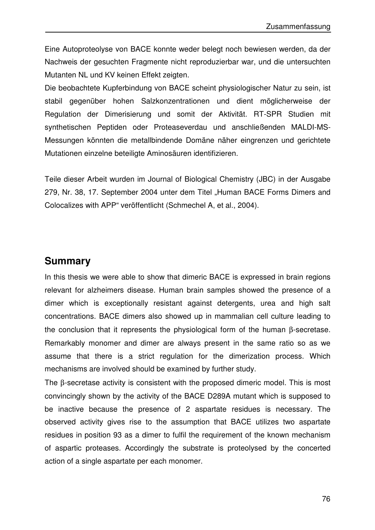Eine Autoproteolyse von BACE konnte weder belegt noch bewiesen werden, da der Nachweis der gesuchten Fragmente nicht reproduzierbar war, und die untersuchten Mutanten NL und KV keinen Effekt zeigten.

Die beobachtete Kupferbindung von BACE scheint physiologischer Natur zu sein, ist stabil gegenüber hohen Salzkonzentrationen und dient möglicherweise der Regulation der Dimerisierung und somit der Aktivität. RT-SPR Studien mit synthetischen Peptiden oder Proteaseverdau und anschließenden MALDI-MS-Messungen könnten die metallbindende Domäne näher eingrenzen und gerichtete Mutationen einzelne beteiligte Aminosäuren identifizieren.

Teile dieser Arbeit wurden im Journal of Biological Chemistry (JBC) in der Ausgabe 279, Nr. 38, 17. September 2004 unter dem Titel "Human BACE Forms Dimers and Colocalizes with APP" veröffentlicht (Schmechel A, et al., 2004).

## **Summary**

In this thesis we were able to show that dimeric BACE is expressed in brain regions relevant for alzheimers disease. Human brain samples showed the presence of a dimer which is exceptionally resistant against detergents, urea and high salt concentrations. BACE dimers also showed up in mammalian cell culture leading to the conclusion that it represents the physiological form of the human β-secretase. Remarkably monomer and dimer are always present in the same ratio so as we assume that there is a strict regulation for the dimerization process. Which mechanisms are involved should be examined by further study.

The β-secretase activity is consistent with the proposed dimeric model. This is most convincingly shown by the activity of the BACE D289A mutant which is supposed to be inactive because the presence of 2 aspartate residues is necessary. The observed activity gives rise to the assumption that BACE utilizes two aspartate residues in position 93 as a dimer to fulfil the requirement of the known mechanism of aspartic proteases. Accordingly the substrate is proteolysed by the concerted action of a single aspartate per each monomer.